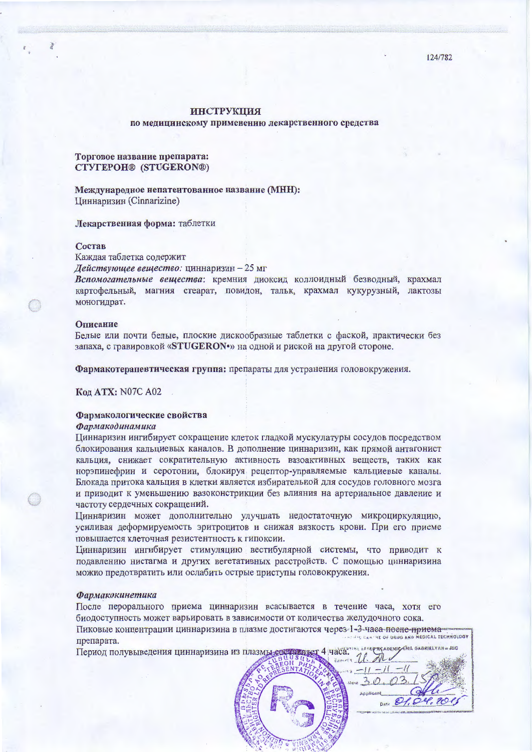124/782

# **ИНСТРУКЦИЯ**

по медицинскому применению лекарственного средства

## Торговое название препарата: CTYTEPOH® (STUGERON®)

Международное непатентованное название (МНН): Циннаризин (Cinnarizine)

### Лекарственная форма: таблетки

## Состав

Каждая таблетка содержит

Действующее вещество: циннаризин - 25 мг

Вспомогательные вещества: кремния диоксид коллоидный безводный, крахмал картофельный, магния стеарат, повидон, тальк, крахмал кукурузный, лактозы моногидрат.

## Описание

Белые или почти белые, плоские дискообразные таблетки с фаской, практически без запаха, с гравировкой «STUGERON•» на одной и риской на другой стороне.

Фармакотерапевтическая группа: препараты для устранения головокружения.

Кол ATX: N07C A02

## Фармакологические свойства

## Фармакодинамика

Циннаризин ингибирует сокращение клеток гладкой мускулатуры сосудов посредством блокирования кальциевых каналов. В дополнение циннаризин, как прямой антагонист кальция, снижает сократительную активность вазоактивных вешеств, таких как норэпинефрин и серотонин, блокируя рецептор-управляемые кальциевые каналы. Блокада притока кальция в клетки является избирательной для сосудов головного мозга и приводит к уменьшению вазоконстрикции без влияния на артериальное давление и частоту сердечных сокращений.

Циннаризин может дополнительно улучшать недостаточную микроциркуляцию, усиливая деформируемость эритроцитов и снижая вязкость крови. При его приеме повышается клеточная резистентность к гипоксии.

Циннаризин ингибирует стимуляцию вестибулярной системы, что приводит к подавлению нистагма и других вегетативных расстройств. С помошью циннаризина можно предотвратить или ослабить острые приступы головокружения.

### Фармакокинетика

После перорального приема циннаризин всасывается в течение часа, хотя его биодоступность может варьировать в зависимости от количества желудочного сока.

Пиковые концентрации циннаризина в плазме достигаются через 1-3-часа после-приема-OF URUG AND MEDICAL TECHNOLOGY препарата. FACADEMIC CHIL GABRIELY AND LINE

> $30.03$ **Applicant**

Ditt 21.04.2001

Период полувыведения циннаризина из плазмы составляет 4 часа.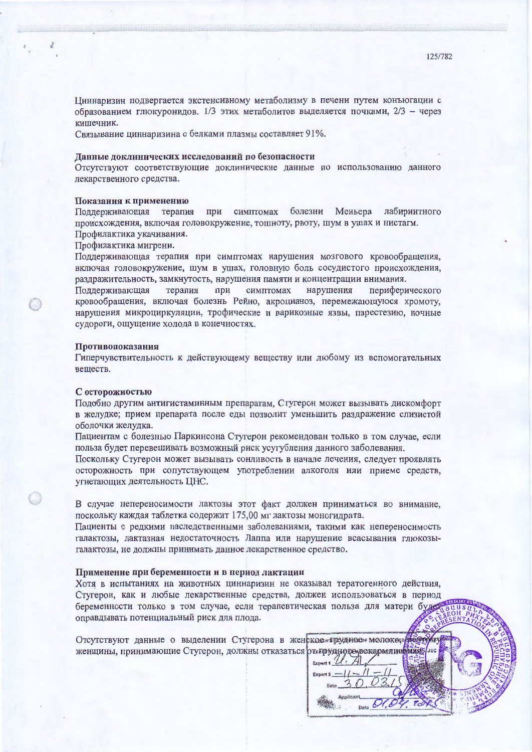Циннаризин подвергается экстенсивному метаболизму в печени путем конъюгации с образованием глюкуронидов. 1/3 этих метаболитов выделяется почками, 2/3 - через кишечник.

Связывание циннаризина с белками плазмы составляет 91%.

### Данные доклинических исследований по безопасности

Отсутствуют соответствующие доклинические данные по использованию данного лекарственного средства.

#### Показания к применению

при симптомах болезни Меньера Поддерживающая терапия лабиринтного происхождения, включая головокружение, тошноту, рвоту, шум в ушах и нистагм. Профилактика укачивания.

Профилактика мигрени.

Поддерживающая терапия при симптомах нарушения мозгового кровообращения, включая головокружение, шум в ушах, головную боль сосудистого происхождения, раздражительность, замкнутость, нарушения памяти и концентрации внимания.

Поддерживающая терапия при симптомах нарушения периферического кровообращения, включая болезнь Рейно, акроцианоз, перемежающуюся хромоту, нарушения микроциркуляции, трофические и варикозные язвы, парестезию, ночные судороги, ощущение холода в конечностях.

#### Противопоказания

Гиперчувствительность к действующему веществу или любому из вспомогательных веществ.

#### С осторожностью

Подобно другим антигистаминным препаратам, Стугерон может вызывать дискомфорт в желудке; прием препарата после еды позволит уменьшить раздражение слизистой оболочки желудка.

Пациентам с болезнью Паркинсона Стугерон рекомендован только в том случае, если польза будет перевешивать возможный риск усугубления данного заболевания.

Поскольку Стугерон может вызывать сонливость в начале лечения, следует проявлять осторожность при сопутствующем употреблении алкоголя или приеме средств. угнетающих деятельность ЦНС.

В случае непереносимости лактозы этот факт должен приниматься во внимание, поскольку каждая таблетка содержит 175,00 мг лактозы моногидрата.

Пациенты с редкими наследственными заболеваниями, такими как непереносимость галактозы, лактазная недостаточность Лаппа или нарушение всасывания глюкозыгалактозы, не должны принимать данное лекарственное средство.

## Применение при беременности и в период лактации

Хотя в испытаниях на животных циннаризин не оказывал тератогенного действия, Стугерон, как и любые лекарственные средства, должен использоваться в период беременности только в том случае, если терапевтическая польза для матери буде оправдывать потенциальный риск для плода.

Отсутствуют данные о выделении Стугерона в женское трудное молокорфестому женщины, принимающие Стугерон, должны отказаться ражноуднове вокармливний

 $Export1$ 

 $Export2 - 11 -$ 

Al

 $\sqrt{1}$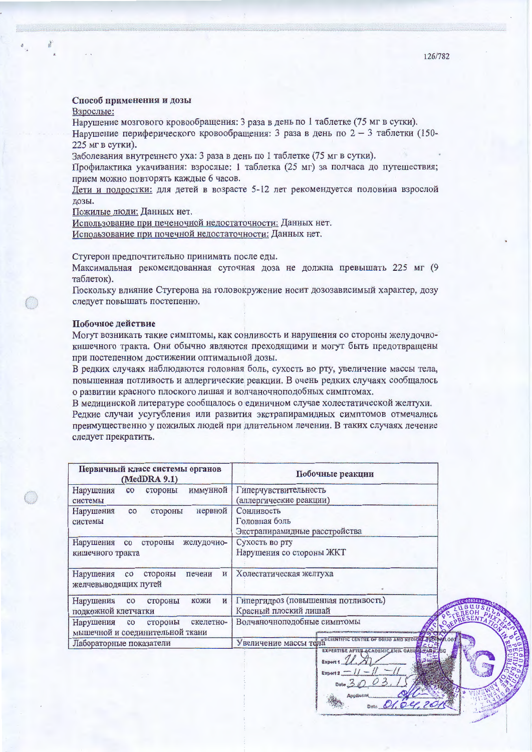## Способ применения и дозы

Взрослые:

Нарушение мозгового кровообращения: 3 раза в день по 1 таблетке (75 мг в сутки).

Нарушение периферического кровообращения: 3 раза в день по 2 - 3 таблетки (150-225 мг в сутки).

Заболевания внутреннего уха: 3 раза в день по 1 таблетке (75 мг в сутки).

Профилактика укачивания: взрослые: 1 таблетка (25 мг) за полчаса до путешествия; прием можно повторять каждые 6 часов.

Дети и подростки: для детей в возрасте 5-12 лет рекомендуется половина взрослой дозы.

Пожилые люди: Данных нет.

Использование при печеночной недостаточности: Данных нет. Использование при почечной недостаточности: Данных нет.

Стугерон предпочтительно принимать после еды.

Максимальная рекомендованная суточная доза не должна превышать 225 мг (9 таблеток).

Поскольку влияние Стугерона на головокружение носит дозозависимый характер, дозу следует повышать постепенно.

## Побочное действие

Могут возникать такие симптомы, как сонливость и нарушения со стороны желудочнокишечного тракта. Они обычно являются преходящими и могут быть предотвращены при постепенном достижении оптимальной дозы.

В редких случаях наблюдаются головная боль, сухость во рту, увеличение массы тела, повышенная потливость и аллергические реакции. В очень редких случаях сообщалось о развитии красного плоского лишая и волчаночноподобных симптомах.

В медицинской литературе сообщалось о единичном случае холестатической желтухи. Редкие случаи усугубления или развития экстрапирамидных симптомов отмечались преимущественно у пожилых людей при длительном лечении. В таких случаях лечение следует прекратить.

| Первичный класс системы органов<br>(MedDRA 9.1)                              | Побочные реакции                                                                           |  |
|------------------------------------------------------------------------------|--------------------------------------------------------------------------------------------|--|
| иммунной<br>Нарушения<br>стороны<br>$_{\rm CO}$<br>системы                   | Гиперчувствительность<br>(аллергические реакции)                                           |  |
| нервной<br>Нарушения<br>стороны<br>co<br>системы                             | Сонливость<br>Головная боль<br>Экстрапирамидные расстройства                               |  |
| желудочно-<br>Нарушения<br>стороны<br>co<br>кишечного тракта                 | Сухость во рту<br>Нарушения со стороны ЖКТ                                                 |  |
| Нарушения<br>стороны<br>печени<br>co<br>$\mathbf{M}$<br>желчевыводящих путей | Холестатическая желтуха                                                                    |  |
| и<br>Нарушения<br>кожи<br>co<br>стороны<br>подкожной клетчатки               | Гипергидроз (повышенная потливость)<br>Красный плоский лишай                               |  |
| Нарушения<br>скелетно-<br>co<br>стороны<br>мышечной и соединительной ткани   | Волчаночноподобные симптомы                                                                |  |
| Лабораторные показатели                                                      | AND NEDICKL. 250<br>Увеличение массы тела ************************                         |  |
|                                                                              | ЕХРЕЯТІВЕ АГТЕЗ АСАРЕМІС ЕМІІ. ОАВИН<br><b>Expert 1</b><br>Expart 2<br>Date $\frac{1}{2}d$ |  |

Date Ole